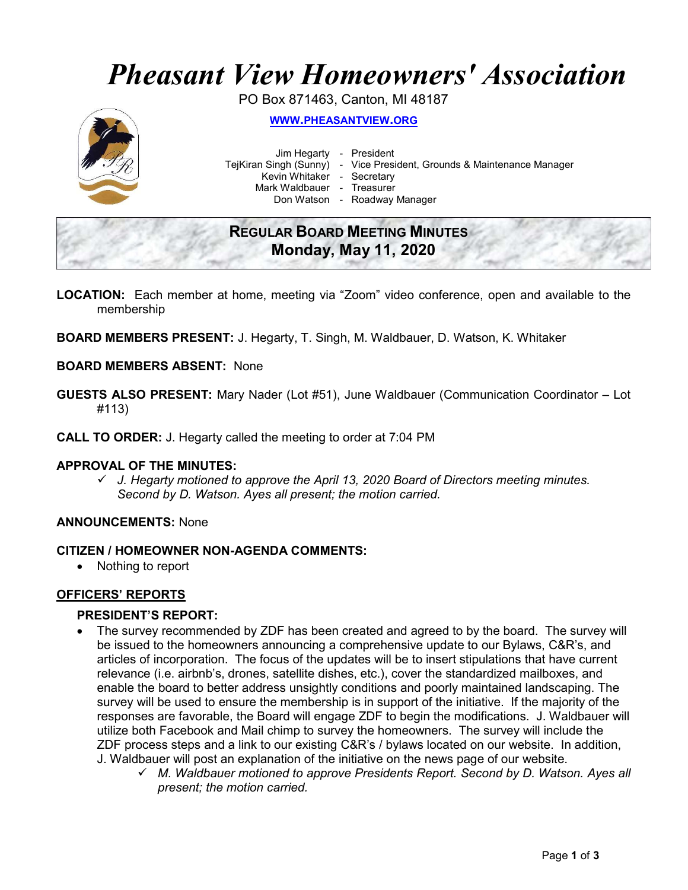# Pheasant View Homeowners' Association

PO Box 871463, Canton, MI 48187



WWW.PHEASANTVIEW.ORG

Jim Hegarty - President

TejKiran Singh (Sunny) - Vice President, Grounds & Maintenance Manager

Kevin Whitaker - Secretary

Mark Waldbauer - Treasurer

Don Watson - Roadway Manager

# REGULAR BOARD MEETING MINUTES Monday, May 11, 2020

- LOCATION: Each member at home, meeting via "Zoom" video conference, open and available to the membership
- BOARD MEMBERS PRESENT: J. Hegarty, T. Singh, M. Waldbauer, D. Watson, K. Whitaker

# BOARD MEMBERS ABSENT: None

- GUESTS ALSO PRESENT: Mary Nader (Lot #51), June Waldbauer (Communication Coordinator Lot #113)
- CALL TO ORDER: J. Hegarty called the meeting to order at 7:04 PM

# APPROVAL OF THE MINUTES:

 $\checkmark$  J. Hegarty motioned to approve the April 13, 2020 Board of Directors meeting minutes. Second by D. Watson. Ayes all present; the motion carried.

# ANNOUNCEMENTS: None

# CITIZEN / HOMEOWNER NON-AGENDA COMMENTS:

Nothing to report

# OFFICERS' REPORTS

# PRESIDENT'S REPORT:

- The survey recommended by ZDF has been created and agreed to by the board. The survey will be issued to the homeowners announcing a comprehensive update to our Bylaws, C&R's, and articles of incorporation. The focus of the updates will be to insert stipulations that have current relevance (i.e. airbnb's, drones, satellite dishes, etc.), cover the standardized mailboxes, and enable the board to better address unsightly conditions and poorly maintained landscaping. The survey will be used to ensure the membership is in support of the initiative. If the majority of the responses are favorable, the Board will engage ZDF to begin the modifications. J. Waldbauer will utilize both Facebook and Mail chimp to survey the homeowners. The survey will include the ZDF process steps and a link to our existing C&R's / bylaws located on our website. In addition, J. Waldbauer will post an explanation of the initiative on the news page of our website.
	- $\checkmark$  M. Waldbauer motioned to approve Presidents Report. Second by D. Watson. Ayes all present; the motion carried.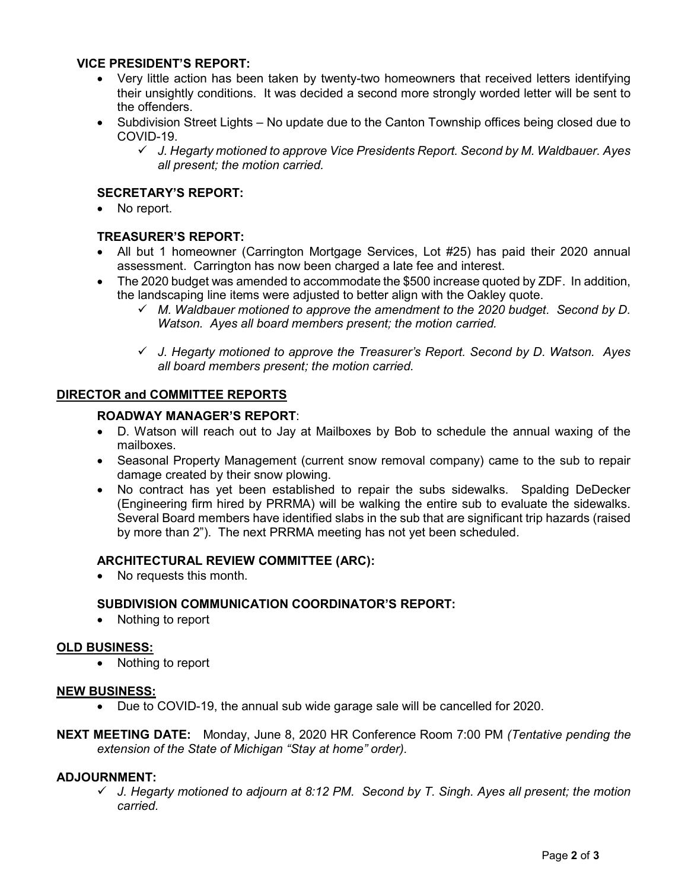# VICE PRESIDENT'S REPORT:

- Very little action has been taken by twenty-two homeowners that received letters identifying their unsightly conditions. It was decided a second more strongly worded letter will be sent to the offenders.
- Subdivision Street Lights No update due to the Canton Township offices being closed due to COVID-19.
	- $\checkmark$  J. Hegarty motioned to approve Vice Presidents Report. Second by M. Waldbauer. Ayes all present; the motion carried.

# SECRETARY'S REPORT:

No report.

# TREASURER'S REPORT:

- All but 1 homeowner (Carrington Mortgage Services, Lot #25) has paid their 2020 annual assessment. Carrington has now been charged a late fee and interest.
- The 2020 budget was amended to accommodate the \$500 increase quoted by ZDF. In addition, the landscaping line items were adjusted to better align with the Oakley quote.
	- $\checkmark$  M. Waldbauer motioned to approve the amendment to the 2020 budget. Second by D. Watson. Ayes all board members present; the motion carried.
	- $\checkmark$  J. Hegarty motioned to approve the Treasurer's Report. Second by D. Watson. Ayes all board members present; the motion carried.

# DIRECTOR and COMMITTEE REPORTS

#### ROADWAY MANAGER'S REPORT:

- D. Watson will reach out to Jay at Mailboxes by Bob to schedule the annual waxing of the mailboxes.
- Seasonal Property Management (current snow removal company) came to the sub to repair damage created by their snow plowing.
- No contract has yet been established to repair the subs sidewalks. Spalding DeDecker (Engineering firm hired by PRRMA) will be walking the entire sub to evaluate the sidewalks. Several Board members have identified slabs in the sub that are significant trip hazards (raised by more than 2"). The next PRRMA meeting has not yet been scheduled.

# ARCHITECTURAL REVIEW COMMITTEE (ARC):

No requests this month.

# SUBDIVISION COMMUNICATION COORDINATOR'S REPORT:

• Nothing to report

#### OLD BUSINESS:

• Nothing to report

#### NEW BUSINESS:

- Due to COVID-19, the annual sub wide garage sale will be cancelled for 2020.
- NEXT MEETING DATE: Monday, June 8, 2020 HR Conference Room 7:00 PM (Tentative pending the extension of the State of Michigan "Stay at home" order).

# ADJOURNMENT:

 $\checkmark$  J. Hegarty motioned to adjourn at 8:12 PM. Second by T. Singh. Ayes all present; the motion carried.